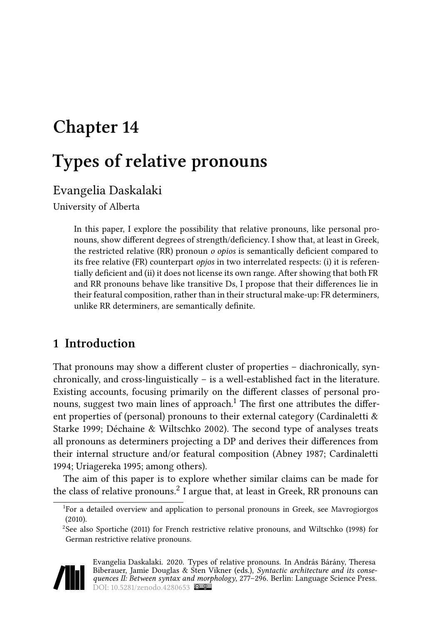# **Chapter 14**

# **Types of relative pronouns**

# Evangelia Daskalaki

University of Alberta

In this paper, I explore the possibility that relative pronouns, like personal pronouns, show different degrees of strength/deficiency. I show that, at least in Greek, the restricted relative (RR) pronoun *o opios* is semantically deficient compared to its free relative (FR) counterpart *opjos* in two interrelated respects: (i) it is referentially deficient and (ii) it does not license its own range. After showing that both FR and RR pronouns behave like transitive Ds, I propose that their differences lie in their featural composition, rather than in their structural make-up: FR determiners, unlike RR determiners, are semantically definite.

### **1 Introduction**

That pronouns may show a different cluster of properties – diachronically, synchronically, and cross-linguistically – is a well-established fact in the literature. Existing accounts, focusing primarily on the different classes of personal pronouns, suggest two main lines of approach.<sup>1</sup> The first one attributes the different properties of (personal) pronouns to their external category([Cardinaletti &](#page-18-0) [Starke 1999;](#page-18-0) [Déchaine & Wiltschko 2002](#page-18-1)). The second type of analyses treats all pronouns as determiners projecting a DP and derives their differences from their internal structure and/or featural composition([Abney 1987;](#page-17-0) [Cardinaletti](#page-18-2) [1994;](#page-18-2) [Uriagereka 1995;](#page-19-0) among others).

The aim of this paper is to explore whether similar claims can be made for the class of relative pronouns. $^2$  I argue that, at least in Greek, RR pronouns can

<sup>&</sup>lt;sup>2</sup>See also [Sportiche \(2011\)](#page-19-2) for French restrictive relative pronouns, and [Wiltschko \(1998\)](#page-19-3) for German restrictive relative pronouns.



Evangelia Daskalaki. 2020. Types of relative pronouns. In András Bárány, Theresa Biberauer, Jamie Douglas & Sten Vikner (eds.), *Syntactic architecture and its consequences II: Between syntax and morphology*, 277–296. Berlin: Language Science Press. DOI: [10.5281/zenodo.4280653](https://doi.org/10.5281/zenodo.4280653)

<sup>&</sup>lt;sup>1</sup>For a detailed overview and application to personal pronouns in Greek, see [Mavrogiorgos](#page-19-1) [\(2010\).](#page-19-1)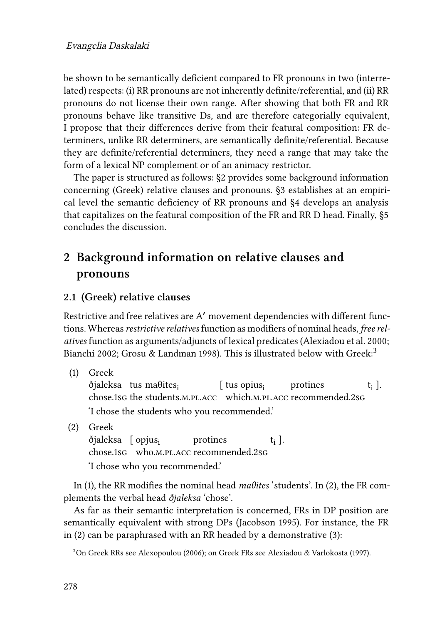be shown to be semantically deficient compared to FR pronouns in two (interrelated) respects: (i) RR pronouns are not inherently definite/referential, and (ii) RR pronouns do not license their own range. After showing that both FR and RR pronouns behave like transitive Ds, and are therefore categorially equivalent, I propose that their differences derive from their featural composition: FR determiners, unlike RR determiners, are semantically definite/referential. Because they are definite/referential determiners, they need a range that may take the form of a lexical NP complement or of an animacy restrictor.

The paper is structured as follows:§[2](#page-1-0) provides some background information concerning (Greek) relative clauses and pronouns.§[3](#page-3-0) establishes at an empirical level the semantic deficiency of RR pronouns and §[4](#page-11-0) develops an analysis that capitalizes on the featural composition of the FR and RR D head. Finally,§[5](#page-16-0) concludes the discussion.

# <span id="page-1-0"></span>**2 Background information on relative clauses and pronouns**

#### <span id="page-1-3"></span>**2.1 (Greek) relative clauses**

Restrictive and free relatives are A′ movement dependencies with different functions. Whereas*restrictive relatives* function as modifiers of nominal heads, *free relatives* function as arguments/adjuncts of lexical predicates [\(Alexiadou et al. 2000;](#page-17-1) [Bianchi 2002](#page-18-3); [Grosu & Landman 1998](#page-18-4)). This is illustrated below with Greek:<sup>3</sup>

<span id="page-1-1"></span>(1) Greek

ðjaleksa) tus maθites<sub>i</sub> chose.1sg the students.m.pl.acc which.m.pl.acc recommended.2sg [ tus opius $_i$ protines ti ]. 'I chose the students who you recommended.'

<span id="page-1-2"></span>(2) Greek

ðjaleksa [ opjus<sub>i</sub> chose.1sg who.m.pl.acc recommended.2sg protines ti ]. 'I chose who you recommended.'

In [\(1](#page-1-1)), the RR modifies the nominal head *maθites* 'students'. In([2\)](#page-1-2), the FR complements the verbal head *ðjaleksa* 'chose'.

As far as their semantic interpretation is concerned, FRs in DP position are semantically equivalent with strong DPs([Jacobson 1995](#page-19-4)). For instance, the FR in [\(2\)](#page-1-2) can be paraphrased with an RR headed by a demonstrative([3\)](#page-2-0):

<sup>3</sup>On Greek RRs see [Alexopoulou \(2006\);](#page-18-5) on Greek FRs see [Alexiadou & Varlokosta \(1997\).](#page-18-6)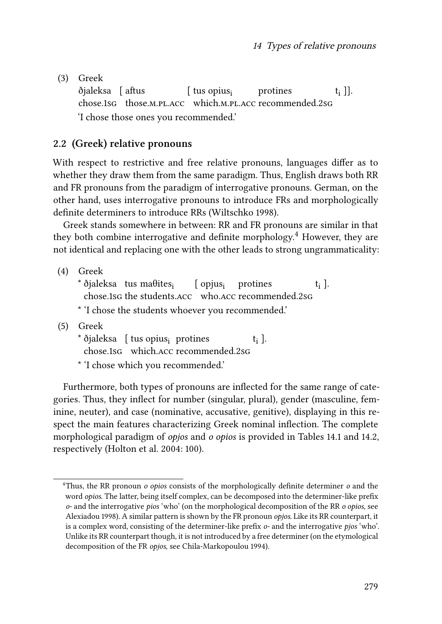<span id="page-2-0"></span>(3) Greek

ðjaleksa [ aftus chose.1sg those.m.pl.acc which.m.pl.acc recommended.2sg [ tus opius; protines  $[t_i]$ . 'I chose those ones you recommended.'

#### **2.2 (Greek) relative pronouns**

With respect to restrictive and free relative pronouns, languages differ as to whether they draw them from the same paradigm. Thus, English draws both RR and FR pronouns from the paradigm of interrogative pronouns. German, on the other hand, uses interrogative pronouns to introduce FRs and morphologically definite determiners to introduce RRs([Wiltschko 1998\)](#page-19-3).

Greek stands somewhere in between: RR and FR pronouns are similar in that they both combine interrogative and definite morphology.<sup>4</sup> However, they are not identical and replacing one with the other leads to strong ungrammaticality:

(4) Greek

 $^*$  ðjaleksa ⊥tus ma $\theta$ ites<sub>i</sub> chose.1sg the students.acc who.acc recommended.2sg [ opjus<sub>i</sub> protines ti ].

\* 'I chose the students whoever you recommended.'

- (5) Greek
	- \* ðjaleksa [ tus opius<sub>i</sub> protines chose.1sg which.acc recommended.2sg ti ].
	- \* 'I chose which you recommended.'

Furthermore, both types of pronouns are inflected for the same range of categories. Thus, they inflect for number (singular, plural), gender (masculine, feminine, neuter), and case (nominative, accusative, genitive), displaying in this respect the main features characterizing Greek nominal inflection. The complete morphological paradigm of *opjos* and *o opios* is provided in Tables [14.1](#page-3-1) and [14.2](#page-3-2), respectively([Holton et al. 2004:](#page-18-7) 100).

<sup>4</sup>Thus, the RR pronoun *o opios* consists of the morphologically definite determiner *o* and the word *opios*. The latter, being itself complex, can be decomposed into the determiner-like prefix *o-* and the interrogative *pios* 'who' (on the morphological decomposition of the RR *o opios*, see [Alexiadou 1998\)](#page-17-2). A similar pattern is shown by the FR pronoun *opjos*. Like its RR counterpart, it is a complex word, consisting of the determiner-like prefix *o-* and the interrogative *pjos* 'who'. Unlike its RR counterpart though, it is not introduced by a free determiner (on the etymological decomposition of the FR *opjos*, see [Chila-Markopoulou 1994](#page-18-8)).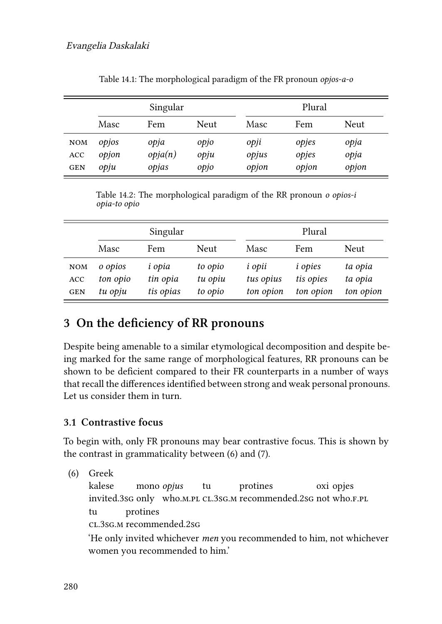<span id="page-3-1"></span>

|                                 | Singular               |                          |                      | Plural                 |                         |                       |
|---------------------------------|------------------------|--------------------------|----------------------|------------------------|-------------------------|-----------------------|
|                                 | Masc                   | Fem                      | Neut                 | Masc                   | Fem                     | <b>Neut</b>           |
| <b>NOM</b><br>ACC<br><b>GEN</b> | opjos<br>opjon<br>opju | opja<br>opja(n)<br>opjas | opjo<br>opju<br>opjo | opji<br>opjus<br>opjon | opjes<br>opjes<br>opjon | opja<br>opja<br>opjon |

Table 14.1: The morphological paradigm of the FR pronoun *opjos-a-o*

Table 14.2: The morphological paradigm of the RR pronoun *o opios-i opia-to opio*

<span id="page-3-2"></span>

|                                 | Singular                       |                                        |                               | Plural                                  |                                          |                                 |
|---------------------------------|--------------------------------|----------------------------------------|-------------------------------|-----------------------------------------|------------------------------------------|---------------------------------|
|                                 | Masc                           | Fem                                    | <b>Neut</b>                   | Masc                                    | Fem                                      | <b>Neut</b>                     |
| <b>NOM</b><br>ACC<br><b>GEN</b> | o opios<br>ton opio<br>tu opju | <i>i</i> opia<br>tin opia<br>tis opias | to opio<br>tu opiu<br>to opio | <i>i</i> opii<br>tus opius<br>ton opion | <i>i</i> opies<br>tis opies<br>ton opion | ta opia<br>ta opia<br>ton opion |

## <span id="page-3-0"></span>**3 On the deficiency of RR pronouns**

Despite being amenable to a similar etymological decomposition and despite being marked for the same range of morphological features, RR pronouns can be shown to be deficient compared to their FR counterparts in a number of ways that recall the differences identified between strong and weak personal pronouns. Let us consider them in turn.

#### **3.1 Contrastive focus**

To begin with, only FR pronouns may bear contrastive focus. This is shown by the contrast in grammaticality between([6](#page-3-3)) and [\(7](#page-4-0)).

<span id="page-3-3"></span>(6) Greek

kalese invited.3sG only who.m.pl cl.3sG.m recommended.2sG not who.f.pl mono *opjus* tu protines oxi opjes tu cl.3sg.m recommended.2sg protines

'He only invited whichever *men* you recommended to him, not whichever women you recommended to him.'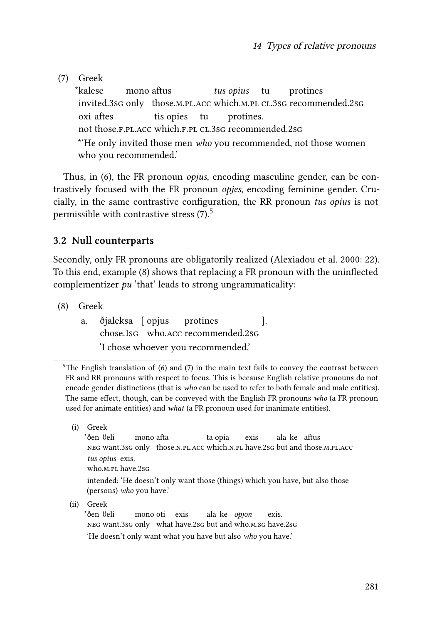<span id="page-4-0"></span>(7) Greek

\*kalese invited.3sg only those.m.pl.acc which.m.pl cl.3sg recommended.2sg mono aftus *tus opius* tu protines oxi aftes not those.f.pl.acc which.f.pl cl.3sg recommended.2sg tis opies tu protines. \*'He only invited those men *who* you recommended, not those women who you recommended.'

Thus, in [\(6\)](#page-3-3), the FR pronoun *opjus*, encoding masculine gender, can be contrastively focused with the FR pronoun *opjes*, encoding feminine gender. Crucially, in the same contrastive configuration, the RR pronoun *tus opius* is not permissible with contrastive stress  $(7)$ .<sup>5</sup>

#### **3.2 Null counterparts**

Secondly, only FR pronouns are obligatorily realized [\(Alexiadou et al. 2000:](#page-17-1) 22). To this end, example([8\)](#page-4-1) shows that replacing a FR pronoun with the uninflected complementizer *pu* 'that' leads to strong ungrammaticality:

<span id="page-4-1"></span>(8) Greek

a. ðjaleksa [ opjus chose.1sg who.acc recommended.2sg protines ]. 'I chose whoever you recommended.'

(ii) Greek

\*ðen θeli neg want.3sg only what have.2sg but and who.m.sg have.2sg mono oti exis ala ke *opjon* exis. 'He doesn't only want what you have but also *who* you have.'

 $5$ The English translation of [\(6\)](#page-3-3) and [\(7](#page-4-0)) in the main text fails to convey the contrast between FR and RR pronouns with respect to focus. This is because English relative pronouns do not encode gender distinctions (that is *who* can be used to refer to both female and male entities). The same effect, though, can be conveyed with the English FR pronouns *who* (a FR pronoun used for animate entities) and *what* (a FR pronoun used for inanimate entities).

<sup>(</sup>i) Greek

<sup>\*</sup>ðen θeli neg want.3sg only those.n.pl.acc which.n.pl have.2sg but and those.m.pl.acc mono afta ta opia exis ala ke aftus *tus opius* exis. who.m.pl have.2sg intended: 'He doesn't only want those (things) which you have, but also those (persons) *who* you have.'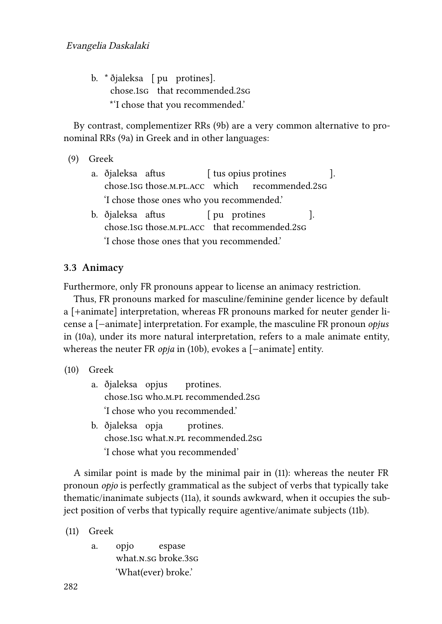b. \* ðjaleksa [ pu protines]. chose.1sg that recommended.2sg \*'I chose that you recommended.'

By contrast, complementizer RRs([9](#page-5-0)b) are a very common alternative to pronominal RRs([9](#page-5-0)a) in Greek and in other languages:

<span id="page-5-0"></span>(9) Greek

- a. ðjaleksa aftus chose.1sg those.m.pl.acc which [ tus opius protines recommended.2sg ]. 'I chose those ones who you recommended.'
- b. ðjaleksa aftus chose.1sg those.m.pl.acc that recommended.2sg [ pu protines ]. 'I chose those ones that you recommended.'

#### **3.3 Animacy**

Furthermore, only FR pronouns appear to license an animacy restriction.

Thus, FR pronouns marked for masculine/feminine gender licence by default a [+animate] interpretation, whereas FR pronouns marked for neuter gender license a [−animate] interpretation. For example, the masculine FR pronoun *opjus* in [\(10](#page-5-1)a), under its more natural interpretation, refers to a male animate entity, whereas the neuter FR *opja* in([10](#page-5-1)b), evokes a [−animate] entity.

```
(10) Greek
```
- a. ðjaleksa opjus chose.1sg who.m.pl recommended.2sg protines. 'I chose who you recommended.'
- b. ðjaleksa opja chose.1sg what.n.pl recommended.2sg protines. 'I chose what you recommended'

A similar point is made by the minimal pair in [\(11\)](#page-5-2): whereas the neuter FR pronoun *opjo* is perfectly grammatical as the subject of verbs that typically take thematic/inanimate subjects([11a](#page-5-2)), it sounds awkward, when it occupies the subject position of verbs that typically require agentive/animate subjects([11b](#page-5-2)).

<span id="page-5-2"></span>(11) Greek

a. opjo what.n.sg broke.3sg espase 'What(ever) broke.'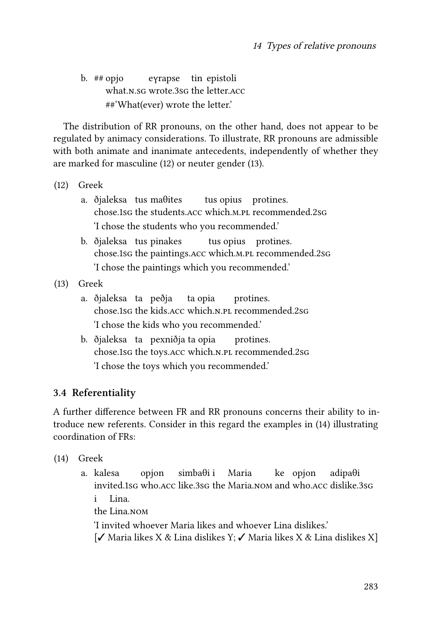b.  $# \neq$  opjo what.n.sg wrote.3sg the letter.acc eγrapse tin epistoli ##'What(ever) wrote the letter.'

The distribution of RR pronouns, on the other hand, does not appear to be regulated by animacy considerations. To illustrate, RR pronouns are admissible with both animate and inanimate antecedents, independently of whether they are marked for masculine([12\)](#page-6-0) or neuter gender [\(13](#page-6-1)).

<span id="page-6-0"></span>(12) Greek

- a. ðjaleksa tus maθites chose.1sg the students.acc which.m.pl recommended.2sg tus opius protines. 'I chose the students who you recommended.'
- b. ðjaleksa tus pinakes chose.1sg the paintings.acc which.m.pl recommended.2sg tus opius protines. 'I chose the paintings which you recommended.'

<span id="page-6-1"></span>(13) Greek

- a. ðjaleksa ta peðja chose.1sg the kids.acc which.n.pl recommended.2sg ta opia protines. 'I chose the kids who you recommended.'
- b. ðjaleksa ta pexniðja ta opia chose.1sg the toys.acc which.n.pl recommended.2sg protines. 'I chose the toys which you recommended.'

#### **3.4 Referentiality**

A further difference between FR and RR pronouns concerns their ability to introduce new referents. Consider in this regard the examples in([14\)](#page-6-2) illustrating coordination of FRs:

- <span id="page-6-2"></span>(14) Greek
	- a. kalesa invited.1sg who.acc like.3sg the Maria.nom and who.acc dislike.3sg opjon simbaθi i Maria ke opjon adipaθi i the Lina.nom Lina. 'I invited whoever Maria likes and whoever Lina dislikes.' [✓ Maria likes X & Lina dislikes Y; ✓ Maria likes X & Lina dislikes X]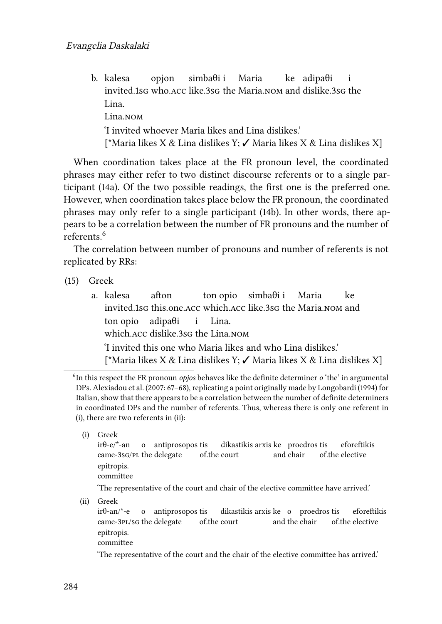b. kalesa invited.1sg who.acc like.3sg the Maria.nom and dislike.3sg the opjon simbaθi i Maria ke adipaθi i Lina. Lina.nom 'I invited whoever Maria likes and Lina dislikes.' [\*Maria likes X & Lina dislikes Y;  $\checkmark$  Maria likes X & Lina dislikes X]

When coordination takes place at the FR pronoun level, the coordinated phrases may either refer to two distinct discourse referents or to a single participant([14a](#page-6-2)). Of the two possible readings, the first one is the preferred one. However, when coordination takes place below the FR pronoun, the coordinated phrases may only refer to a single participant [\(14b](#page-6-2)). In other words, there appears to be a correlation between the number of FR pronouns and the number of referents<sup>6</sup>

The correlation between number of pronouns and number of referents is not replicated by RRs:

- <span id="page-7-0"></span>(15) Greek
	- a. kalesa invited.1sg this.one.acc which.acc like.3sg the Maria.nom and afton ton opio simbaθi i Maria ke ton opio which.acc dislike.3sg the Lina.nom adipaθi i Lina. 'I invited this one who Maria likes and who Lina dislikes.' [\*Maria likes X & Lina dislikes Y; ✓ Maria likes X & Lina dislikes X]

(i) Greek

committee

'The representative of the court and chair of the elective committee have arrived.'

(ii) Greek

'The representative of the court and the chair of the elective committee has arrived.'

<sup>6</sup> In this respect the FR pronoun *opjos* behaves like the definite determiner *o* 'the' in argumental DPs. [Alexiadou et al. \(2007](#page-17-3): 67–68), replicating a point originally made by [Longobardi \(1994\)](#page-19-5) for Italian, show that there appears to be a correlation between the number of definite determiners in coordinated DPs and the number of referents. Thus, whereas there is only one referent in (i), there are two referents in (ii):

irθ-e/\*-an came-3sG/PL the delegate o antiprosopos tis of.the court dikastikis arxis ke proedros tis and chair of.the elective eforeftikis epitropis.

irθ-an/\*-e came-3pl/sg the delegate o antiprosopos tis of.the court dikastikis arxis ke o proedros tis and the chair of.the elective eforeftikis epitropis. committee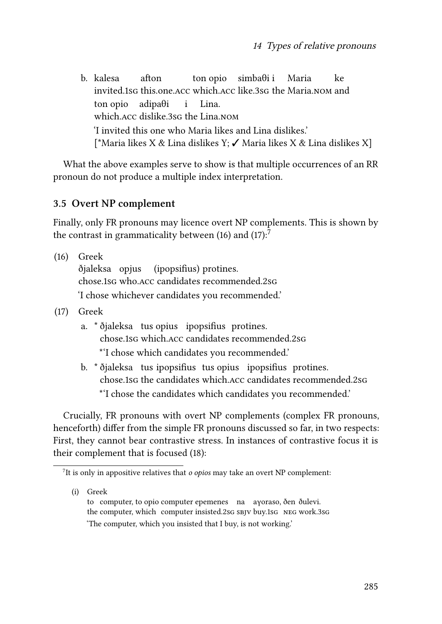b. kalesa invited.1sg this.one.acc which.acc like.3sg the Maria.nom and afton ton opio simbaθi i Maria ke ton opio which.acc dislike.3sg the Lina.nom adipaθi i Lina. 'I invited this one who Maria likes and Lina dislikes.' [\*Maria likes X & Lina dislikes Y; ✓ Maria likes X & Lina dislikes X]

What the above examples serve to show is that multiple occurrences of an RR pronoun do not produce a multiple index interpretation.

#### **3.5 Overt NP complement**

Finally, only FR pronouns may licence overt NP complements. This is shown by thecontrast in grammaticality between ([16\)](#page-8-0) and [\(17\)](#page-8-1):<sup>7</sup>

- <span id="page-8-0"></span>(16) Greek ðjaleksa opjus chose.1sg who.acc candidates recommended.2sg (ipopsifius) protines. 'I chose whichever candidates you recommended.'
- <span id="page-8-1"></span>(17) Greek
	- a. \* ðjaleksa tus opius ipopsifius protines. chose.1sg which.acc candidates recommended.2sg \*'I chose which candidates you recommended.'
	- b. \* ðjaleksa tus ipopsifius tus opius ipopsifius protines. chose.1sg the candidates which.acc candidates recommended.2sg \*'I chose the candidates which candidates you recommended.'

Crucially, FR pronouns with overt NP complements (complex FR pronouns, henceforth) differ from the simple FR pronouns discussed so far, in two respects: First, they cannot bear contrastive stress. In instances of contrastive focus it is their complement that is focused [\(18](#page-9-0)):

(i) Greek

<sup>7</sup> It is only in appositive relatives that *o opios* may take an overt NP complement:

to computer, to opio computer epemenes na aγoraso, ðen ðulevi. the computer, which computer insisted.2sg sBJV buy.1sg NEG work.3sg 'The computer, which you insisted that I buy, is not working.'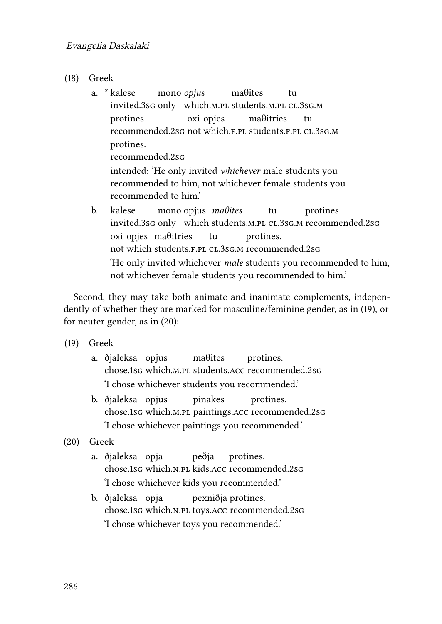- <span id="page-9-0"></span>(18) Greek
	- a. \* kalese invited.3sg only which.m.pl students.m.pl cl.3sg.m mono *opjus* maθites tu protines recommended.2sg not which.f.pl students.f.pl cl.3sg.m oxi opjes maθitries tu protines. recommended.2sg intended: 'He only invited *whichever* male students you recommended to him, not whichever female students you recommended to him.'
	- b. kalese invited.3sg only which students.m.pl cl.3sg.m recommended.2sg mono opjus *maθites* tu protines oxi opjes maθitries not which students.f.pl cl.3sg.m recommended.2sg tu protines. 'He only invited whichever *male* students you recommended to him, not whichever female students you recommended to him.'

Second, they may take both animate and inanimate complements, independently of whether they are marked for masculine/feminine gender, as in([19\)](#page-9-1), or for neuter gender, as in([20](#page-9-2)):

- <span id="page-9-1"></span>(19) Greek
	- a. ðjaleksa opjus chose.1sg which.m.pl students.acc recommended.2sg maθites protines. 'I chose whichever students you recommended.'
	- b. ðjaleksa opjus chose.1sg which.m.pl paintings.acc recommended.2sg pinakes protines. 'I chose whichever paintings you recommended.'
- <span id="page-9-2"></span>(20) Greek
	- a. ðjaleksa opja chose.1sg which.n.pl kids.acc recommended.2sg peðja protines. 'I chose whichever kids you recommended.'
	- b. ðjaleksa opja chose.1sg which.n.pl toys.acc recommended.2sg pexniðja protines. 'I chose whichever toys you recommended.'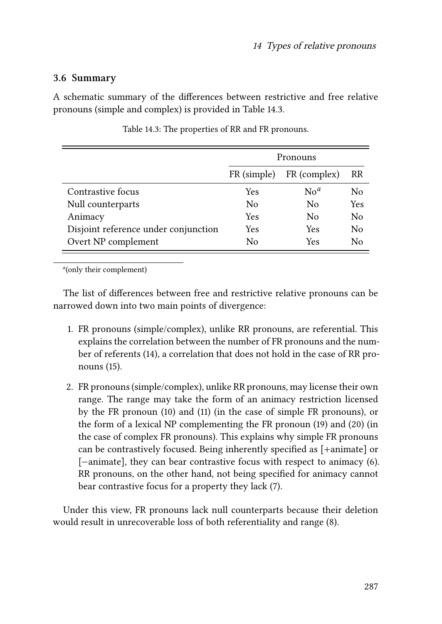#### **3.6 Summary**

A schematic summary of the differences between restrictive and free relative pronouns (simple and complex) is provided in Table [14.3](#page-10-0).

<span id="page-10-0"></span>

|                                      | Pronouns    |                |     |  |
|--------------------------------------|-------------|----------------|-----|--|
|                                      | FR (simple) | FR (complex)   | RR  |  |
| Contrastive focus                    | Yes         | N <sup>a</sup> | No  |  |
| Null counterparts                    | No          | No             | Yes |  |
| Animacy                              | Yes         | $\rm N_{0}$    | No  |  |
| Disjoint reference under conjunction | Yes         | Yes            | No  |  |
| Overt NP complement                  | No          | Yes            | Nο  |  |

Table 14.3: The properties of RR and FR pronouns.

*a* (only their complement)

The list of differences between free and restrictive relative pronouns can be narrowed down into two main points of divergence:

- 1. FR pronouns (simple/complex), unlike RR pronouns, are referential. This explains the correlation between the number of FR pronouns and the number of referents [\(14\)](#page-6-2), a correlation that does not hold in the case of RR pronouns([15\)](#page-7-0).
- 2. FR pronouns (simple/complex), unlike RR pronouns, may license their own range. The range may take the form of an animacy restriction licensed by the FR pronoun([10](#page-5-1)) and([11\)](#page-5-2) (in the case of simple FR pronouns), or the form of a lexical NP complementing the FR pronoun [\(19](#page-9-1)) and [\(20\)](#page-9-2) (in the case of complex FR pronouns). This explains why simple FR pronouns can be contrastively focused. Being inherently specified as [+animate] or [-animate], they can bear contrastive focus with respect to animacy [\(6](#page-3-3)). RR pronouns, on the other hand, not being specified for animacy cannot bear contrastive focus for a property they lack([7](#page-4-0)).

Under this view, FR pronouns lack null counterparts because their deletion would result in unrecoverable loss of both referentiality and range [\(8](#page-4-1)).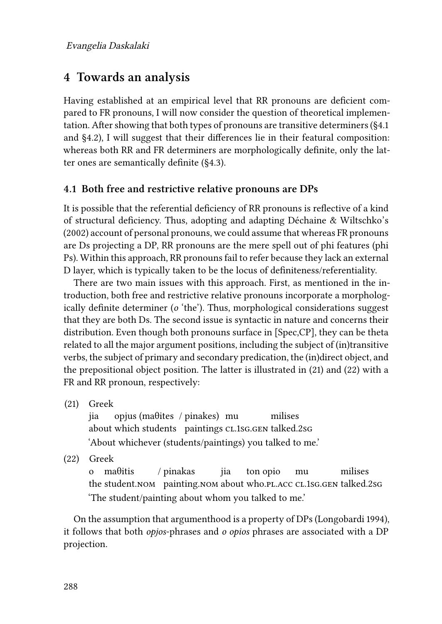### <span id="page-11-0"></span>**4 Towards an analysis**

Having established at an empirical level that RR pronouns are deficient compared to FR pronouns, I will now consider the question of theoretical implementation. After showing that both types of pronouns are transitive determiners ([§4.1](#page-11-1) and §[4.2](#page-12-0)), I will suggest that their differences lie in their featural composition: whereas both RR and FR determiners are morphologically definite, only the latter ones are semantically definite ([§4.3\)](#page-13-0).

#### <span id="page-11-1"></span>**4.1 Both free and restrictive relative pronouns are DPs**

It is possible that the referential deficiency of RR pronouns is reflective of a kind of structural deficiency. Thus, adopting and adapting [Déchaine & Wiltschko'](#page-18-1)s (2002) account of personal pronouns, we could assume that whereas FR pronouns are Ds projecting a DP, RR pronouns are the mere spell out of phi features (phi Ps). Within this approach, RR pronouns fail to refer because they lack an external D layer, which is typically taken to be the locus of definiteness/referentiality.

There are two main issues with this approach. First, as mentioned in the introduction, both free and restrictive relative pronouns incorporate a morphologically definite determiner (*o* 'the'). Thus, morphological considerations suggest that they are both Ds. The second issue is syntactic in nature and concerns their distribution. Even though both pronouns surface in [Spec,CP], they can be theta related to all the major argument positions, including the subject of (in)transitive verbs, the subject of primary and secondary predication, the (in)direct object, and the prepositional object position. The latter is illustrated in([21\)](#page-11-2) and([22](#page-11-3)) with a FR and RR pronoun, respectively:

<span id="page-11-2"></span>(21) Greek

jia about which students paintings cl.1sg.gen talked.2sg opjus (maθites / pinakes) mu milises 'About whichever (students/paintings) you talked to me.'

<span id="page-11-3"></span>(22) Greek

o maθitis the student.nom painting.nom about who.pl.acc cl.1sg.gen talked.2sg / pinakas jia ton opio mu milises 'The student/painting about whom you talked to me.'

On the assumption that argumenthood is a property of DPs([Longobardi 1994](#page-19-5)), it follows that both *opjos*-phrases and *o opios* phrases are associated with a DP projection.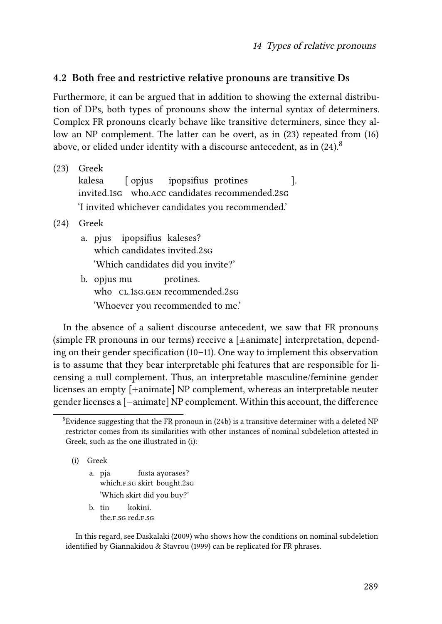#### <span id="page-12-0"></span>**4.2 Both free and restrictive relative pronouns are transitive Ds**

Furthermore, it can be argued that in addition to showing the external distribution of DPs, both types of pronouns show the internal syntax of determiners. Complex FR pronouns clearly behave like transitive determiners, since they allow an NP complement. The latter can be overt, as in([23\)](#page-12-1) repeated from([16\)](#page-8-0) above, or elided under identity with a discourse antecedent, as in  $(24)$ .<sup>8</sup>

<span id="page-12-1"></span>

| (23) | Greek                                             |  |  |  |  |  |  |
|------|---------------------------------------------------|--|--|--|--|--|--|
|      | kalesa [opjus ipopsifius protines]                |  |  |  |  |  |  |
|      | invited.1sG who.ACC candidates recommended.2sG    |  |  |  |  |  |  |
|      | 'I invited whichever candidates you recommended.' |  |  |  |  |  |  |
|      | $(24)$ Greek                                      |  |  |  |  |  |  |
|      | a. pjus ipopsifius kaleses?                       |  |  |  |  |  |  |

- <span id="page-12-2"></span>which candidates invited.2sg 'Which candidates did you invite?'
- b. opjus mu who cl.1sg.gen recommended.2sg protines. 'Whoever you recommended to me.'

In the absence of a salient discourse antecedent, we saw that FR pronouns (simple FR pronouns in our terms) receive a [±animate] interpretation, depending on their gender specification([10](#page-5-1)[–11\)](#page-5-2). One way to implement this observation is to assume that they bear interpretable phi features that are responsible for licensing a null complement. Thus, an interpretable masculine/feminine gender licenses an empty [+animate] NP complement, whereas an interpretable neuter gender licenses a [−animate] NP complement. Within this account, the difference

(i) Greek

- a. pja which.f.sg skirt bought.2sg fusta aγorases? 'Which skirt did you buy?'
- b. tin the.f.sg red.f.sg kokini.

In this regard, see [Daskalaki \(2009\)](#page-18-9) who shows how the conditions on nominal subdeletion identified by [Giannakidou & Stavrou \(1999\)](#page-18-10) can be replicated for FR phrases.

 ${}^8$ Evidence suggesting that the FR pronoun in [\(24b](#page-12-2)) is a transitive determiner with a deleted NP restrictor comes from its similarities with other instances of nominal subdeletion attested in Greek, such as the one illustrated in (i):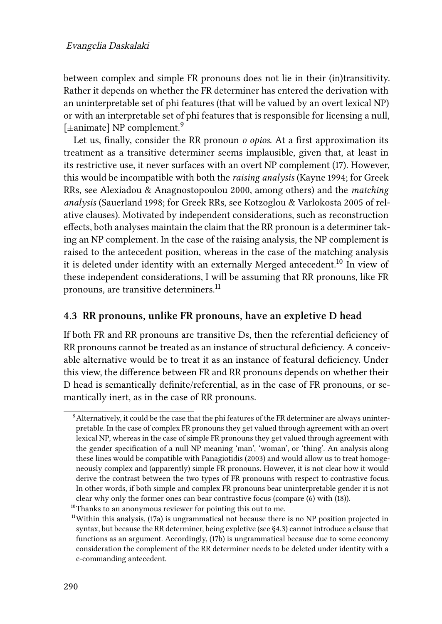between complex and simple FR pronouns does not lie in their (in)transitivity. Rather it depends on whether the FR determiner has entered the derivation with an uninterpretable set of phi features (that will be valued by an overt lexical NP) or with an interpretable set of phi features that is responsible for licensing a null, [ $\pm$ animate] NP complement.<sup>9</sup>

Let us, finally, consider the RR pronoun *o opios*. At a first approximation its treatment as a transitive determiner seems implausible, given that, at least in its restrictive use, it never surfaces with an overt NP complement([17](#page-8-1)). However, this would be incompatible with both the *raising analysis* ([Kayne 1994;](#page-19-6) for Greek RRs, see [Alexiadou & Anagnostopoulou 2000,](#page-17-4) among others) and the *matching analysis* ([Sauerland 1998](#page-19-7); for Greek RRs, see [Kotzoglou & Varlokosta 2005](#page-19-8) of relative clauses). Motivated by independent considerations, such as reconstruction effects, both analyses maintain the claim that the RR pronoun is a determiner taking an NP complement. In the case of the raising analysis, the NP complement is raised to the antecedent position, whereas in the case of the matching analysis it is deleted under identity with an externally Merged antecedent.<sup>10</sup> In view of these independent considerations, I will be assuming that RR pronouns, like FR pronouns, are transitive determiners.<sup>11</sup>

#### <span id="page-13-0"></span>**4.3 RR pronouns, unlike FR pronouns, have an expletive D head**

If both FR and RR pronouns are transitive Ds, then the referential deficiency of RR pronouns cannot be treated as an instance of structural deficiency. A conceivable alternative would be to treat it as an instance of featural deficiency. Under this view, the difference between FR and RR pronouns depends on whether their D head is semantically definite/referential, as in the case of FR pronouns, or semantically inert, as in the case of RR pronouns.

<sup>9</sup>Alternatively, it could be the case that the phi features of the FR determiner are always uninterpretable. In the case of complex FR pronouns they get valued through agreement with an overt lexical NP, whereas in the case of simple FR pronouns they get valued through agreement with the gender specification of a null NP meaning 'man', 'woman', or 'thing'. An analysis along these lines would be compatible with [Panagiotidis \(2003\)](#page-19-9) and would allow us to treat homogeneously complex and (apparently) simple FR pronouns. However, it is not clear how it would derive the contrast between the two types of FR pronouns with respect to contrastive focus. In other words, if both simple and complex FR pronouns bear uninterpretable gender it is not clear why only the former ones can bear contrastive focus (compare ([6](#page-3-3)) with ([18](#page-9-0))).

<sup>&</sup>lt;sup>10</sup>Thanks to an anonymous reviewer for pointing this out to me.

 $11$ Withinthis analysis, ([17](#page-8-1)a) is ungrammatical not because there is no NP position projected in syntax, but because the RR determiner, being expletive (see§[4.3](#page-13-0)) cannot introduce a clause that functions as an argument. Accordingly, [\(17](#page-8-1)b) is ungrammatical because due to some economy consideration the complement of the RR determiner needs to be deleted under identity with a c-commanding antecedent.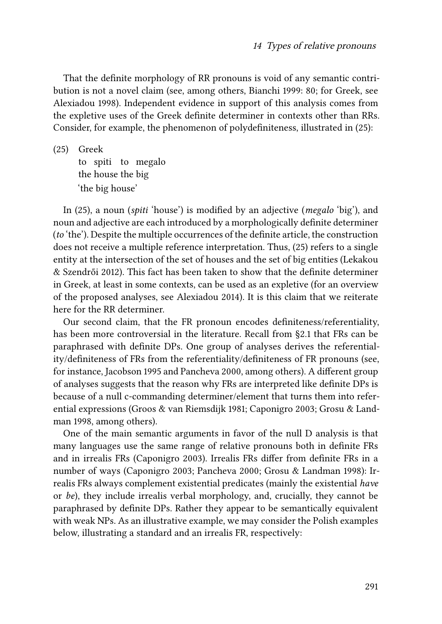That the definite morphology of RR pronouns is void of any semantic contribution is not a novel claim (see, among others, [Bianchi 1999:](#page-18-11) 80; for Greek, see [Alexiadou 1998](#page-17-2)). Independent evidence in support of this analysis comes from the expletive uses of the Greek definite determiner in contexts other than RRs. Consider, for example, the phenomenon of polydefiniteness, illustrated in([25](#page-14-0)):

<span id="page-14-0"></span>(25) Greek

to spiti to megalo the house the big 'the big house'

In([25](#page-14-0)), a noun (*spiti* 'house') is modified by an adjective (*megalo* 'big'), and noun and adjective are each introduced by a morphologically definite determiner (*to* 'the'). Despite the multiple occurrences of the definite article, the construction does not receive a multiple reference interpretation. Thus,([25\)](#page-14-0) refers to a single entity at the intersection of the set of houses and the set of big entities [\(Lekakou](#page-19-10) [& Szendrői 2012](#page-19-10)). This fact has been taken to show that the definite determiner in Greek, at least in some contexts, can be used as an expletive (for an overview of the proposed analyses, see [Alexiadou 2014](#page-17-5)). It is this claim that we reiterate here for the RR determiner.

Our second claim, that the FR pronoun encodes definiteness/referentiality, has been more controversial in the literature. Recall from [§2.1](#page-1-3) that FRs can be paraphrased with definite DPs. One group of analyses derives the referentiality/definiteness of FRs from the referentiality/definiteness of FR pronouns (see, for instance, [Jacobson 1995](#page-19-4) and [Pancheva 2000,](#page-19-11) among others). A different group of analyses suggests that the reason why FRs are interpreted like definite DPs is because of a null c-commanding determiner/element that turns them into referential expressions([Groos & van Riemsdijk 1981](#page-18-12); [Caponigro 2003](#page-18-13); [Grosu & Land](#page-18-4)[man 1998,](#page-18-4) among others).

<span id="page-14-1"></span>One of the main semantic arguments in favor of the null D analysis is that many languages use the same range of relative pronouns both in definite FRs and in irrealis FRs([Caponigro 2003\)](#page-18-13). Irrealis FRs differ from definite FRs in a number of ways([Caponigro 2003](#page-18-13); [Pancheva 2000](#page-19-11); [Grosu & Landman 1998](#page-18-4)): Irrealis FRs always complement existential predicates (mainly the existential *have* or *be*), they include irrealis verbal morphology, and, crucially, they cannot be paraphrased by definite DPs. Rather they appear to be semantically equivalent with weak NPs. As an illustrative example, we may consider the Polish examples below, illustrating a standard and an irrealis FR, respectively: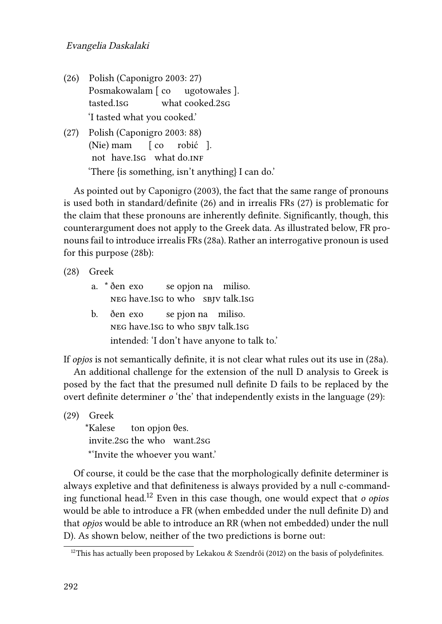#### Evangelia Daskalaki

- (26) Polish([Caponigro 2003](#page-18-13): 27) Posmakowalam [ co tasted.1sg what cooked.2sg ugotowałes ]. 'I tasted what you cooked.'
- <span id="page-15-0"></span>(27) Polish [\(Caponigro 2003](#page-18-13): 88) (Nie) mam not have.1sG what do.inF  $\sqrt{ }$  co robić ]. 'There {is something, isn't anything} I can do.'

As pointed out by [Caponigro \(2003\)](#page-18-13), the fact that the same range of pronouns is used both in standard/definite [\(26](#page-14-1)) and in irrealis FRs([27\)](#page-15-0) is problematic for the claim that these pronouns are inherently definite. Significantly, though, this counterargument does not apply to the Greek data. As illustrated below, FR pronouns fail to introduce irrealis FRs([28](#page-15-1)a). Rather an interrogative pronoun is used for this purpose [\(28b](#page-15-1)):

<span id="page-15-1"></span>(28) Greek

| a. * ðen exo                      |  | se opjon na miliso. |
|-----------------------------------|--|---------------------|
| NEG have.1sG to who SBJV talk.1sG |  |                     |
|                                   |  |                     |

b. ðen exo neg have.1sg to who sbjv talk.1sg se pjon na miliso. intended: 'I don't have anyone to talk to.'

If *opjos* is not semantically definite, it is not clear what rules out its use in([28a](#page-15-1)).

An additional challenge for the extension of the null D analysis to Greek is posed by the fact that the presumed null definite D fails to be replaced by the overt definite determiner *o* 'the' that independently exists in the language([29](#page-15-2)):

<span id="page-15-2"></span>(29) Greek

\*Kalese invite.2sg the who want.2sg ton opjon θes. \*'Invite the whoever you want.'

Of course, it could be the case that the morphologically definite determiner is always expletive and that definiteness is always provided by a null c-commanding functional head.<sup>12</sup> Even in this case though, one would expect that *o opios* would be able to introduce a FR (when embedded under the null definite D) and that *opjos* would be able to introduce an RR (when not embedded) under the null D). As shown below, neither of the two predictions is borne out:

<sup>&</sup>lt;sup>12</sup>This has actually been proposed by [Lekakou & Szendrői \(2012\)](#page-19-10) on the basis of polydefinites.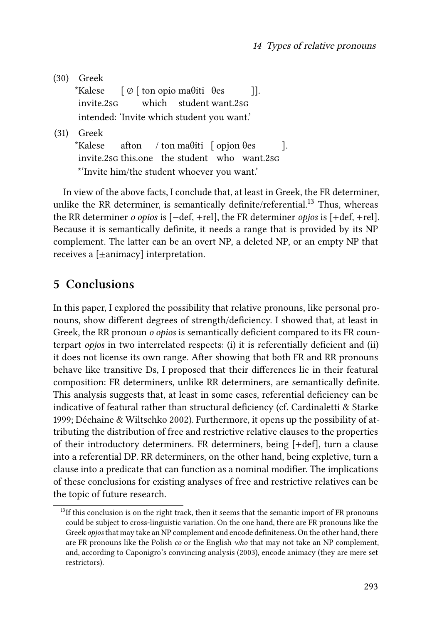(30) Greek \*Kalese invite.2sg [ ∅ [ ton opio maθiti θes which student want.2sg ]]. intended: 'Invite which student you want.' (31) Greek \*Kalese afton

invite.2sg this.one the student who want.2sg / ton maθiti [ opjon θes ]. \*'Invite him/the student whoever you want.'

In view of the above facts, I conclude that, at least in Greek, the FR determiner, unlike the RR determiner, is semantically definite/referential.<sup>13</sup> Thus, whereas the RR determiner *o opios* is [−def, +rel], the FR determiner *opjos* is [+def, +rel]. Because it is semantically definite, it needs a range that is provided by its NP complement. The latter can be an overt NP, a deleted NP, or an empty NP that receives a [±animacy] interpretation.

# <span id="page-16-0"></span>**5 Conclusions**

In this paper, I explored the possibility that relative pronouns, like personal pronouns, show different degrees of strength/deficiency. I showed that, at least in Greek, the RR pronoun *o opios* is semantically deficient compared to its FR counterpart *opjos* in two interrelated respects: (i) it is referentially deficient and (ii) it does not license its own range. After showing that both FR and RR pronouns behave like transitive Ds, I proposed that their differences lie in their featural composition: FR determiners, unlike RR determiners, are semantically definite. This analysis suggests that, at least in some cases, referential deficiency can be indicative of featural rather than structural deficiency (cf. [Cardinaletti & Starke](#page-18-0) [1999;](#page-18-0) [Déchaine & Wiltschko 2002\)](#page-18-1). Furthermore, it opens up the possibility of attributing the distribution of free and restrictive relative clauses to the properties of their introductory determiners. FR determiners, being [+def], turn a clause into a referential DP. RR determiners, on the other hand, being expletive, turn a clause into a predicate that can function as a nominal modifier. The implications of these conclusions for existing analyses of free and restrictive relatives can be the topic of future research.

 $<sup>13</sup>$ If this conclusion is on the right track, then it seems that the semantic import of FR pronouns</sup> could be subject to cross-linguistic variation. On the one hand, there are FR pronouns like the Greek *opjos* that may take an NP complement and encode definiteness. On the other hand, there are FR pronouns like the Polish *co* or the English *who* that may not take an NP complement, and, according to [Caponigro'](#page-18-13)s convincing analysis [\(2003](#page-18-13)), encode animacy (they are mere set restrictors).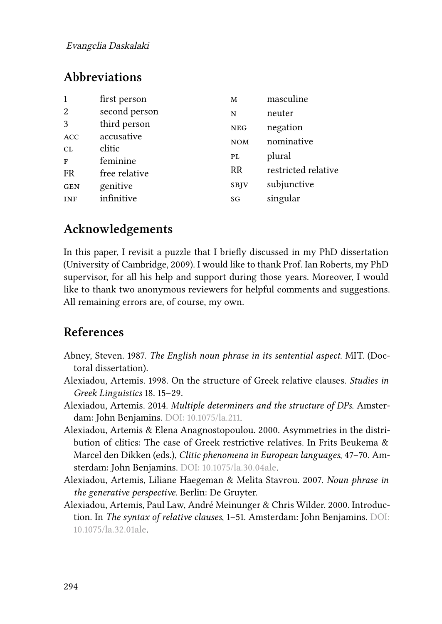#### Evangelia Daskalaki

# **Abbreviations**

| 1          | first person  | м           | masculine           |
|------------|---------------|-------------|---------------------|
| 2          | second person | N           | neuter              |
| 3          | third person  | <b>NEG</b>  | negation            |
| ACC        | accusative    | <b>NOM</b>  | nominative          |
| CL         | clitic        | PL          | plural              |
| F          | feminine      |             |                     |
| <b>FR</b>  | free relative | <b>RR</b>   | restricted relative |
| <b>GEN</b> | genitive      | <b>SBJV</b> | subjunctive         |
| <b>INF</b> | infinitive    | SG          | singular            |

# **Acknowledgements**

In this paper, I revisit a puzzle that I briefly discussed in my PhD dissertation (University of Cambridge, 2009). I would like to thank Prof. Ian Roberts, my PhD supervisor, for all his help and support during those years. Moreover, I would like to thank two anonymous reviewers for helpful comments and suggestions. All remaining errors are, of course, my own.

# **References**

- <span id="page-17-0"></span>Abney, Steven. 1987. *The English noun phrase in its sentential aspect*. MIT. (Doctoral dissertation).
- <span id="page-17-2"></span>Alexiadou, Artemis. 1998. On the structure of Greek relative clauses. *Studies in Greek Linguistics* 18. 15–29.
- <span id="page-17-5"></span>Alexiadou, Artemis. 2014. *Multiple determiners and the structure of DPs*. Amsterdam: John Benjamins. DOI: [10.1075/la.211.](https://doi.org/10.1075/la.211)
- <span id="page-17-4"></span>Alexiadou, Artemis & Elena Anagnostopoulou. 2000. Asymmetries in the distribution of clitics: The case of Greek restrictive relatives. In Frits Beukema & Marcel den Dikken (eds.), *Clitic phenomena in European languages*, 47–70. Amsterdam: John Benjamins. DOI: [10.1075/la.30.04ale](https://doi.org/10.1075/la.30.04ale).
- <span id="page-17-3"></span>Alexiadou, Artemis, Liliane Haegeman & Melita Stavrou. 2007. *Noun phrase in the generative perspective*. Berlin: De Gruyter.
- <span id="page-17-1"></span>Alexiadou, Artemis, Paul Law, André Meinunger & Chris Wilder. 2000. Introduction. In *The syntax of relative clauses*, 1–51. Amsterdam: John Benjamins. DOI: [10.1075/la.32.01ale.](https://doi.org/10.1075/la.32.01ale)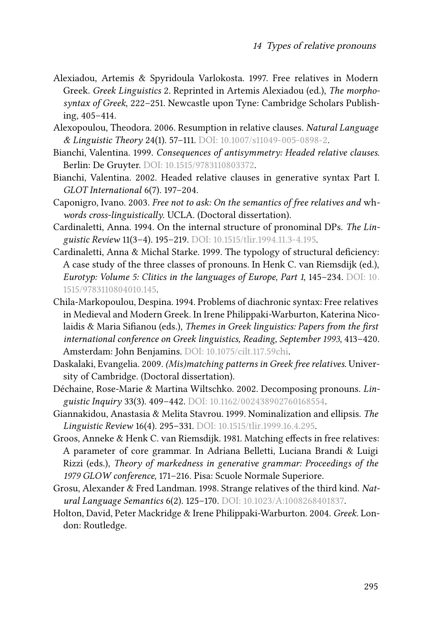- <span id="page-18-6"></span>Alexiadou, Artemis & Spyridoula Varlokosta. 1997. Free relatives in Modern Greek. *Greek Linguistics* 2. Reprinted in Artemis Alexiadou (ed.), *The morphosyntax of Greek*, 222–251. Newcastle upon Tyne: Cambridge Scholars Publishing, 405–414.
- <span id="page-18-5"></span>Alexopoulou, Theodora. 2006. Resumption in relative clauses. *Natural Language & Linguistic Theory* 24(1). 57–111. DOI: [10.1007/s11049-005-0898-2](https://doi.org/10.1007/s11049-005-0898-2).
- <span id="page-18-11"></span>Bianchi, Valentina. 1999. *Consequences of antisymmetry: Headed relative clauses*. Berlin: De Gruyter. DOI: [10.1515/9783110803372](https://doi.org/10.1515/9783110803372).
- <span id="page-18-3"></span>Bianchi, Valentina. 2002. Headed relative clauses in generative syntax Part I. *GLOT International* 6(7). 197–204.
- <span id="page-18-13"></span>Caponigro, Ivano. 2003. *Free not to ask: On the semantics of free relatives and* wh*words cross-linguistically*. UCLA. (Doctoral dissertation).
- <span id="page-18-2"></span>Cardinaletti, Anna. 1994. On the internal structure of pronominal DPs. *The Linguistic Review* 11(3–4). 195–219. DOI: [10.1515/tlir.1994.11.3-4.195.](https://doi.org/10.1515/tlir.1994.11.3-4.195)
- <span id="page-18-0"></span>Cardinaletti, Anna & Michal Starke. 1999. The typology of structural deficiency: A case study of the three classes of pronouns. In Henk C. van Riemsdijk (ed.), *Eurotyp: Volume 5: Clitics in the languages of Europe, Part 1*, 145–234. DOI: [10.](https://doi.org/10.1515/9783110804010.145) [1515/9783110804010.145.](https://doi.org/10.1515/9783110804010.145)
- <span id="page-18-8"></span>Chila-Markopoulou, Despina. 1994. Problems of diachronic syntax: Free relatives in Medieval and Modern Greek. In Irene Philippaki-Warburton, Katerina Nicolaidis & Maria Sifianou (eds.), *Themes in Greek linguistics: Papers from the first international conference on Greek linguistics, Reading, September 1993*, 413–420. Amsterdam: John Benjamins. DOI: [10.1075/cilt.117.59chi](https://doi.org/10.1075/cilt.117.59chi).
- <span id="page-18-9"></span>Daskalaki, Evangelia. 2009. *(Mis)matching patterns in Greek free relatives*. University of Cambridge. (Doctoral dissertation).
- <span id="page-18-1"></span>Déchaine, Rose-Marie & Martina Wiltschko. 2002. Decomposing pronouns. *Linguistic Inquiry* 33(3). 409–442. DOI: [10.1162/002438902760168554](https://doi.org/10.1162/002438902760168554).
- <span id="page-18-10"></span>Giannakidou, Anastasia & Melita Stavrou. 1999. Nominalization and ellipsis. *The Linguistic Review* 16(4). 295–331. DOI: [10.1515/tlir.1999.16.4.295](https://doi.org/10.1515/tlir.1999.16.4.295).
- <span id="page-18-12"></span>Groos, Anneke & Henk C. van Riemsdijk. 1981. Matching effects in free relatives: A parameter of core grammar. In Adriana Belletti, Luciana Brandi & Luigi Rizzi (eds.), *Theory of markedness in generative grammar: Proceedings of the 1979 GLOW conference*, 171–216. Pisa: Scuole Normale Superiore.
- <span id="page-18-4"></span>Grosu, Alexander & Fred Landman. 1998. Strange relatives of the third kind. *Natural Language Semantics* 6(2). 125–170. DOI: [10.1023/A:1008268401837](https://doi.org/10.1023/A:1008268401837).
- <span id="page-18-7"></span>Holton, David, Peter Mackridge & Irene Philippaki-Warburton. 2004. *Greek*. London: Routledge.